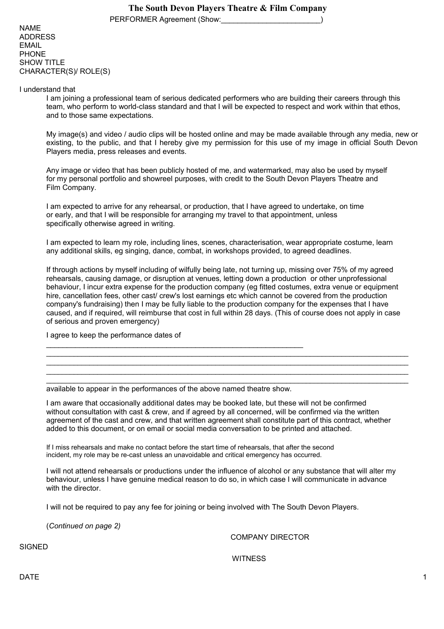PERFORMER Agreement (Show:

NAME ADDRESS EMAIL PHONE SHOW TITLE CHARACTER(S)/ ROLE(S)

I understand that

I am joining a professional team of serious dedicated performers who are building their careers through this team, who perform to world-class standard and that I will be expected to respect and work within that ethos, and to those same expectations.

My image(s) and video / audio clips will be hosted online and may be made available through any media, new or existing, to the public, and that I hereby give my permission for this use of my image in official South Devon Players media, press releases and events.

Any image or video that has been publicly hosted of me, and watermarked, may also be used by myself for my personal portfolio and showreel purposes, with credit to the South Devon Players Theatre and Film Company.

I am expected to arrive for any rehearsal, or production, that I have agreed to undertake, on time or early, and that I will be responsible for arranging my travel to that appointment, unless specifically otherwise agreed in writing.

I am expected to learn my role, including lines, scenes, characterisation, wear appropriate costume, learn any additional skills, eg singing, dance, combat, in workshops provided, to agreed deadlines.

If through actions by myself including of wilfully being late, not turning up, missing over 75% of my agreed rehearsals, causing damage, or disruption at venues, letting down a production or other unprofessional behaviour, I incur extra expense for the production company (eg fitted costumes, extra venue or equipment hire, cancellation fees, other cast/ crew's lost earnings etc which cannot be covered from the production company's fundraising) then I may be fully liable to the production company for the expenses that I have caused, and if required, will reimburse that cost in full within 28 days. (This of course does not apply in case of serious and proven emergency)

 $\mathcal{L}_\mathcal{L} = \{ \mathcal{L}_\mathcal{L} = \{ \mathcal{L}_\mathcal{L} = \{ \mathcal{L}_\mathcal{L} = \{ \mathcal{L}_\mathcal{L} = \{ \mathcal{L}_\mathcal{L} = \{ \mathcal{L}_\mathcal{L} = \{ \mathcal{L}_\mathcal{L} = \{ \mathcal{L}_\mathcal{L} = \{ \mathcal{L}_\mathcal{L} = \{ \mathcal{L}_\mathcal{L} = \{ \mathcal{L}_\mathcal{L} = \{ \mathcal{L}_\mathcal{L} = \{ \mathcal{L}_\mathcal{L} = \{ \mathcal{L}_\mathcal{$  $\mathcal{L}_\mathcal{L} = \{ \mathcal{L}_\mathcal{L} = \{ \mathcal{L}_\mathcal{L} = \{ \mathcal{L}_\mathcal{L} = \{ \mathcal{L}_\mathcal{L} = \{ \mathcal{L}_\mathcal{L} = \{ \mathcal{L}_\mathcal{L} = \{ \mathcal{L}_\mathcal{L} = \{ \mathcal{L}_\mathcal{L} = \{ \mathcal{L}_\mathcal{L} = \{ \mathcal{L}_\mathcal{L} = \{ \mathcal{L}_\mathcal{L} = \{ \mathcal{L}_\mathcal{L} = \{ \mathcal{L}_\mathcal{L} = \{ \mathcal{L}_\mathcal{$  $\mathcal{L}_\mathcal{L} = \{ \mathcal{L}_\mathcal{L} = \{ \mathcal{L}_\mathcal{L} = \{ \mathcal{L}_\mathcal{L} = \{ \mathcal{L}_\mathcal{L} = \{ \mathcal{L}_\mathcal{L} = \{ \mathcal{L}_\mathcal{L} = \{ \mathcal{L}_\mathcal{L} = \{ \mathcal{L}_\mathcal{L} = \{ \mathcal{L}_\mathcal{L} = \{ \mathcal{L}_\mathcal{L} = \{ \mathcal{L}_\mathcal{L} = \{ \mathcal{L}_\mathcal{L} = \{ \mathcal{L}_\mathcal{L} = \{ \mathcal{L}_\mathcal{$  $\_$  ,  $\_$  ,  $\_$  ,  $\_$  ,  $\_$  ,  $\_$  ,  $\_$  ,  $\_$  ,  $\_$  ,  $\_$  ,  $\_$  ,  $\_$  ,  $\_$  ,  $\_$  ,  $\_$  ,  $\_$  ,  $\_$  ,  $\_$  ,  $\_$  ,  $\_$  ,  $\_$  ,  $\_$  ,  $\_$  ,  $\_$  ,  $\_$  ,  $\_$  ,  $\_$  ,  $\_$  ,  $\_$  ,  $\_$  ,  $\_$  ,  $\_$  ,  $\_$  ,  $\_$  ,  $\_$  ,  $\_$  ,  $\_$  ,

I agree to keep the performance dates of

available to appear in the performances of the above named theatre show.

I am aware that occasionally additional dates may be booked late, but these will not be confirmed without consultation with cast & crew, and if agreed by all concerned, will be confirmed via the written agreement of the cast and crew, and that written agreement shall constitute part of this contract, whether added to this document, or on email or social media conversation to be printed and attached.

If I miss rehearsals and make no contact before the start time of rehearsals, that after the second incident, my role may be re-cast unless an unavoidable and critical emergency has occurred.

I will not attend rehearsals or productions under the influence of alcohol or any substance that will alter my behaviour, unless I have genuine medical reason to do so, in which case I will communicate in advance with the director.

I will not be required to pay any fee for joining or being involved with The South Devon Players.

(*Continued on page 2)*

COMPANY DIRECTOR

SIGNED

**WITNESS**